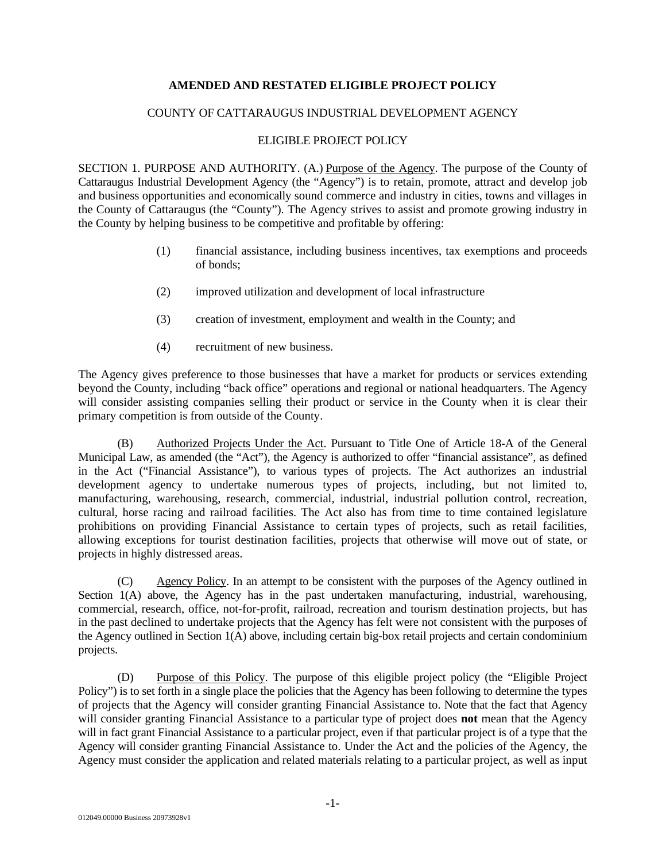## **AMENDED AND RESTATED ELIGIBLE PROJECT POLICY**

## COUNTY OF CATTARAUGUS INDUSTRIAL DEVELOPMENT AGENCY

## ELIGIBLE PROJECT POLICY

SECTION 1. PURPOSE AND AUTHORITY. (A.) Purpose of the Agency. The purpose of the County of Cattaraugus Industrial Development Agency (the "Agency") is to retain, promote, attract and develop job and business opportunities and economically sound commerce and industry in cities, towns and villages in the County of Cattaraugus (the "County"). The Agency strives to assist and promote growing industry in the County by helping business to be competitive and profitable by offering:

- (1) financial assistance, including business incentives, tax exemptions and proceeds of bonds;
- (2) improved utilization and development of local infrastructure
- (3) creation of investment, employment and wealth in the County; and
- (4) recruitment of new business.

The Agency gives preference to those businesses that have a market for products or services extending beyond the County, including "back office" operations and regional or national headquarters. The Agency will consider assisting companies selling their product or service in the County when it is clear their primary competition is from outside of the County.

(B) Authorized Projects Under the Act. Pursuant to Title One of Article 18-A of the General Municipal Law, as amended (the "Act"), the Agency is authorized to offer "financial assistance", as defined in the Act ("Financial Assistance"), to various types of projects. The Act authorizes an industrial development agency to undertake numerous types of projects, including, but not limited to, manufacturing, warehousing, research, commercial, industrial, industrial pollution control, recreation, cultural, horse racing and railroad facilities. The Act also has from time to time contained legislature prohibitions on providing Financial Assistance to certain types of projects, such as retail facilities, allowing exceptions for tourist destination facilities, projects that otherwise will move out of state, or projects in highly distressed areas.

(C) Agency Policy. In an attempt to be consistent with the purposes of the Agency outlined in Section 1(A) above, the Agency has in the past undertaken manufacturing, industrial, warehousing, commercial, research, office, not-for-profit, railroad, recreation and tourism destination projects, but has in the past declined to undertake projects that the Agency has felt were not consistent with the purposes of the Agency outlined in Section 1(A) above, including certain big-box retail projects and certain condominium projects.

(D) Purpose of this Policy. The purpose of this eligible project policy (the "Eligible Project Policy") is to set forth in a single place the policies that the Agency has been following to determine the types of projects that the Agency will consider granting Financial Assistance to. Note that the fact that Agency will consider granting Financial Assistance to a particular type of project does **not** mean that the Agency will in fact grant Financial Assistance to a particular project, even if that particular project is of a type that the Agency will consider granting Financial Assistance to. Under the Act and the policies of the Agency, the Agency must consider the application and related materials relating to a particular project, as well as input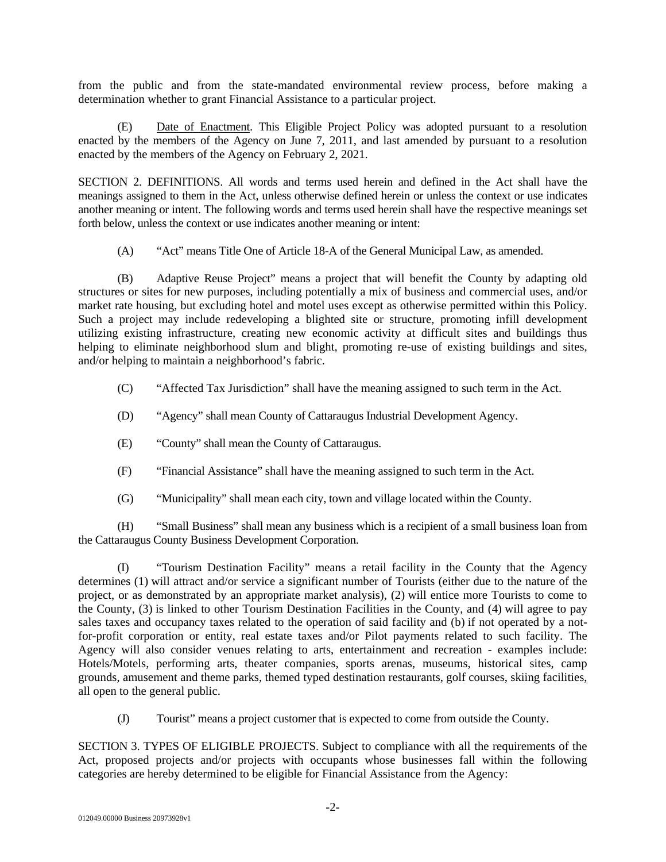from the public and from the state-mandated environmental review process, before making a determination whether to grant Financial Assistance to a particular project.

(E) Date of Enactment. This Eligible Project Policy was adopted pursuant to a resolution enacted by the members of the Agency on June 7, 2011, and last amended by pursuant to a resolution enacted by the members of the Agency on February 2, 2021.

SECTION 2. DEFINITIONS. All words and terms used herein and defined in the Act shall have the meanings assigned to them in the Act, unless otherwise defined herein or unless the context or use indicates another meaning or intent. The following words and terms used herein shall have the respective meanings set forth below, unless the context or use indicates another meaning or intent:

(A) "Act" means Title One of Article 18-A of the General Municipal Law, as amended.

(B) Adaptive Reuse Project" means a project that will benefit the County by adapting old structures or sites for new purposes, including potentially a mix of business and commercial uses, and/or market rate housing, but excluding hotel and motel uses except as otherwise permitted within this Policy. Such a project may include redeveloping a blighted site or structure, promoting infill development utilizing existing infrastructure, creating new economic activity at difficult sites and buildings thus helping to eliminate neighborhood slum and blight, promoting re-use of existing buildings and sites, and/or helping to maintain a neighborhood's fabric.

(C) "Affected Tax Jurisdiction" shall have the meaning assigned to such term in the Act.

- (D) "Agency" shall mean County of Cattaraugus Industrial Development Agency.
- (E) "County" shall mean the County of Cattaraugus.
- (F) "Financial Assistance" shall have the meaning assigned to such term in the Act.
- (G) "Municipality" shall mean each city, town and village located within the County.

(H) "Small Business" shall mean any business which is a recipient of a small business loan from the Cattaraugus County Business Development Corporation.

(I) "Tourism Destination Facility" means a retail facility in the County that the Agency determines (1) will attract and/or service a significant number of Tourists (either due to the nature of the project, or as demonstrated by an appropriate market analysis), (2) will entice more Tourists to come to the County, (3) is linked to other Tourism Destination Facilities in the County, and (4) will agree to pay sales taxes and occupancy taxes related to the operation of said facility and (b) if not operated by a notfor-profit corporation or entity, real estate taxes and/or Pilot payments related to such facility. The Agency will also consider venues relating to arts, entertainment and recreation - examples include: Hotels/Motels, performing arts, theater companies, sports arenas, museums, historical sites, camp grounds, amusement and theme parks, themed typed destination restaurants, golf courses, skiing facilities, all open to the general public.

(J) Tourist" means a project customer that is expected to come from outside the County.

SECTION 3. TYPES OF ELIGIBLE PROJECTS. Subject to compliance with all the requirements of the Act, proposed projects and/or projects with occupants whose businesses fall within the following categories are hereby determined to be eligible for Financial Assistance from the Agency: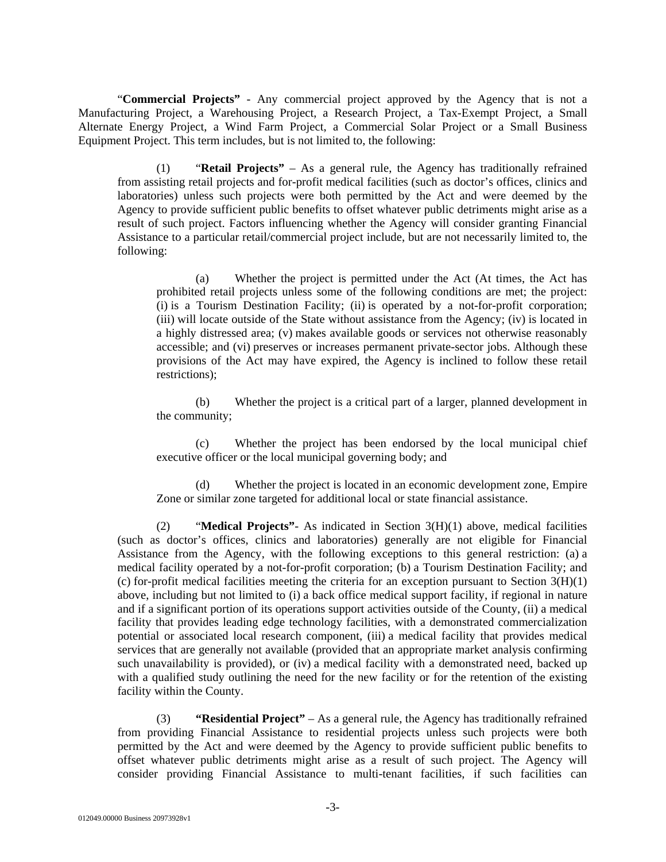"**Commercial Projects"** - Any commercial project approved by the Agency that is not a Manufacturing Project, a Warehousing Project, a Research Project, a Tax-Exempt Project, a Small Alternate Energy Project, a Wind Farm Project, a Commercial Solar Project or a Small Business Equipment Project. This term includes, but is not limited to, the following:

(1) "**Retail Projects"** – As a general rule, the Agency has traditionally refrained from assisting retail projects and for-profit medical facilities (such as doctor's offices, clinics and laboratories) unless such projects were both permitted by the Act and were deemed by the Agency to provide sufficient public benefits to offset whatever public detriments might arise as a result of such project. Factors influencing whether the Agency will consider granting Financial Assistance to a particular retail/commercial project include, but are not necessarily limited to, the following:

(a) Whether the project is permitted under the Act (At times, the Act has prohibited retail projects unless some of the following conditions are met; the project: (i) is a Tourism Destination Facility; (ii) is operated by a not-for-profit corporation; (iii) will locate outside of the State without assistance from the Agency; (iv) is located in a highly distressed area; (v) makes available goods or services not otherwise reasonably accessible; and (vi) preserves or increases permanent private-sector jobs. Although these provisions of the Act may have expired, the Agency is inclined to follow these retail restrictions);

(b) Whether the project is a critical part of a larger, planned development in the community;

(c) Whether the project has been endorsed by the local municipal chief executive officer or the local municipal governing body; and

(d) Whether the project is located in an economic development zone, Empire Zone or similar zone targeted for additional local or state financial assistance.

(2) "**Medical Projects"**- As indicated in Section 3(H)(1) above, medical facilities (such as doctor's offices, clinics and laboratories) generally are not eligible for Financial Assistance from the Agency, with the following exceptions to this general restriction: (a) a medical facility operated by a not-for-profit corporation; (b) a Tourism Destination Facility; and (c) for-profit medical facilities meeting the criteria for an exception pursuant to Section  $3(H)(1)$ above, including but not limited to (i) a back office medical support facility, if regional in nature and if a significant portion of its operations support activities outside of the County, (ii) a medical facility that provides leading edge technology facilities, with a demonstrated commercialization potential or associated local research component, (iii) a medical facility that provides medical services that are generally not available (provided that an appropriate market analysis confirming such unavailability is provided), or (iv) a medical facility with a demonstrated need, backed up with a qualified study outlining the need for the new facility or for the retention of the existing facility within the County.

(3) **"Residential Project"** – As a general rule, the Agency has traditionally refrained from providing Financial Assistance to residential projects unless such projects were both permitted by the Act and were deemed by the Agency to provide sufficient public benefits to offset whatever public detriments might arise as a result of such project. The Agency will consider providing Financial Assistance to multi-tenant facilities, if such facilities can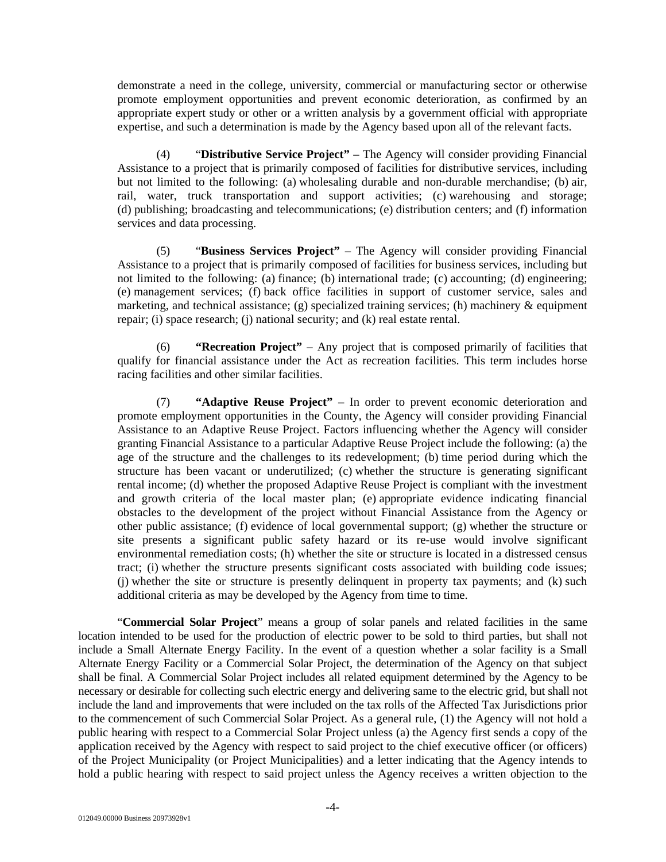demonstrate a need in the college, university, commercial or manufacturing sector or otherwise promote employment opportunities and prevent economic deterioration, as confirmed by an appropriate expert study or other or a written analysis by a government official with appropriate expertise, and such a determination is made by the Agency based upon all of the relevant facts.

(4) "**Distributive Service Project"** – The Agency will consider providing Financial Assistance to a project that is primarily composed of facilities for distributive services, including but not limited to the following: (a) wholesaling durable and non-durable merchandise; (b) air, rail, water, truck transportation and support activities; (c) warehousing and storage; (d) publishing; broadcasting and telecommunications; (e) distribution centers; and (f) information services and data processing.

(5) "**Business Services Project"** – The Agency will consider providing Financial Assistance to a project that is primarily composed of facilities for business services, including but not limited to the following: (a) finance; (b) international trade; (c) accounting; (d) engineering; (e) management services; (f) back office facilities in support of customer service, sales and marketing, and technical assistance; (g) specialized training services; (h) machinery & equipment repair; (i) space research; (j) national security; and (k) real estate rental.

(6) **"Recreation Project"** – Any project that is composed primarily of facilities that qualify for financial assistance under the Act as recreation facilities. This term includes horse racing facilities and other similar facilities.

(7) **"Adaptive Reuse Project"** – In order to prevent economic deterioration and promote employment opportunities in the County, the Agency will consider providing Financial Assistance to an Adaptive Reuse Project. Factors influencing whether the Agency will consider granting Financial Assistance to a particular Adaptive Reuse Project include the following: (a) the age of the structure and the challenges to its redevelopment; (b) time period during which the structure has been vacant or underutilized; (c) whether the structure is generating significant rental income; (d) whether the proposed Adaptive Reuse Project is compliant with the investment and growth criteria of the local master plan; (e) appropriate evidence indicating financial obstacles to the development of the project without Financial Assistance from the Agency or other public assistance; (f) evidence of local governmental support; (g) whether the structure or site presents a significant public safety hazard or its re-use would involve significant environmental remediation costs; (h) whether the site or structure is located in a distressed census tract; (i) whether the structure presents significant costs associated with building code issues; (j) whether the site or structure is presently delinquent in property tax payments; and (k) such additional criteria as may be developed by the Agency from time to time.

"**Commercial Solar Project**" means a group of solar panels and related facilities in the same location intended to be used for the production of electric power to be sold to third parties, but shall not include a Small Alternate Energy Facility. In the event of a question whether a solar facility is a Small Alternate Energy Facility or a Commercial Solar Project, the determination of the Agency on that subject shall be final. A Commercial Solar Project includes all related equipment determined by the Agency to be necessary or desirable for collecting such electric energy and delivering same to the electric grid, but shall not include the land and improvements that were included on the tax rolls of the Affected Tax Jurisdictions prior to the commencement of such Commercial Solar Project. As a general rule, (1) the Agency will not hold a public hearing with respect to a Commercial Solar Project unless (a) the Agency first sends a copy of the application received by the Agency with respect to said project to the chief executive officer (or officers) of the Project Municipality (or Project Municipalities) and a letter indicating that the Agency intends to hold a public hearing with respect to said project unless the Agency receives a written objection to the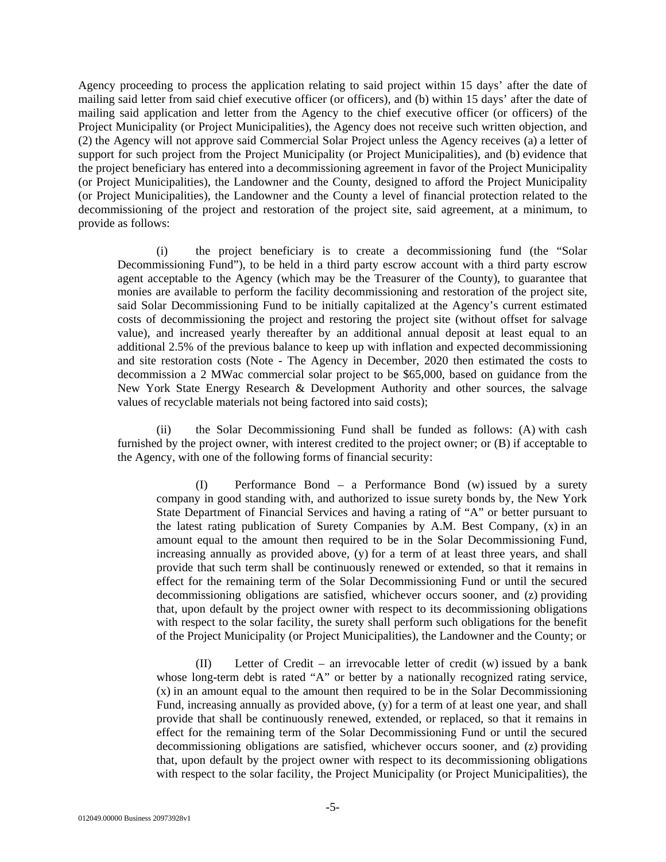Agency proceeding to process the application relating to said project within 15 days' after the date of mailing said letter from said chief executive officer (or officers), and (b) within 15 days' after the date of mailing said application and letter from the Agency to the chief executive officer (or officers) of the Project Municipality (or Project Municipalities), the Agency does not receive such written objection, and (2) the Agency will not approve said Commercial Solar Project unless the Agency receives (a) a letter of support for such project from the Project Municipality (or Project Municipalities), and (b) evidence that the project beneficiary has entered into a decommissioning agreement in favor of the Project Municipality (or Project Municipalities), the Landowner and the County, designed to afford the Project Municipality (or Project Municipalities), the Landowner and the County a level of financial protection related to the decommissioning of the project and restoration of the project site, said agreement, at a minimum, to provide as follows:

(i) the project beneficiary is to create a decommissioning fund (the "Solar Decommissioning Fund"), to be held in a third party escrow account with a third party escrow agent acceptable to the Agency (which may be the Treasurer of the County), to guarantee that monies are available to perform the facility decommissioning and restoration of the project site, said Solar Decommissioning Fund to be initially capitalized at the Agency's current estimated costs of decommissioning the project and restoring the project site (without offset for salvage value), and increased yearly thereafter by an additional annual deposit at least equal to an additional 2.5% of the previous balance to keep up with inflation and expected decommissioning and site restoration costs (Note - The Agency in December, 2020 then estimated the costs to decommission a 2 MWac commercial solar project to be \$65,000, based on guidance from the New York State Energy Research & Development Authority and other sources, the salvage values of recyclable materials not being factored into said costs);

(ii) the Solar Decommissioning Fund shall be funded as follows: (A) with cash furnished by the project owner, with interest credited to the project owner; or (B) if acceptable to the Agency, with one of the following forms of financial security:

(I) Performance Bond – a Performance Bond (w) issued by a surety company in good standing with, and authorized to issue surety bonds by, the New York State Department of Financial Services and having a rating of "A" or better pursuant to the latest rating publication of Surety Companies by A.M. Best Company, (x) in an amount equal to the amount then required to be in the Solar Decommissioning Fund, increasing annually as provided above, (y) for a term of at least three years, and shall provide that such term shall be continuously renewed or extended, so that it remains in effect for the remaining term of the Solar Decommissioning Fund or until the secured decommissioning obligations are satisfied, whichever occurs sooner, and (z) providing that, upon default by the project owner with respect to its decommissioning obligations with respect to the solar facility, the surety shall perform such obligations for the benefit of the Project Municipality (or Project Municipalities), the Landowner and the County; or

(II) Letter of Credit – an irrevocable letter of credit (w) issued by a bank whose long-term debt is rated "A" or better by a nationally recognized rating service, (x) in an amount equal to the amount then required to be in the Solar Decommissioning Fund, increasing annually as provided above, (y) for a term of at least one year, and shall provide that shall be continuously renewed, extended, or replaced, so that it remains in effect for the remaining term of the Solar Decommissioning Fund or until the secured decommissioning obligations are satisfied, whichever occurs sooner, and (z) providing that, upon default by the project owner with respect to its decommissioning obligations with respect to the solar facility, the Project Municipality (or Project Municipalities), the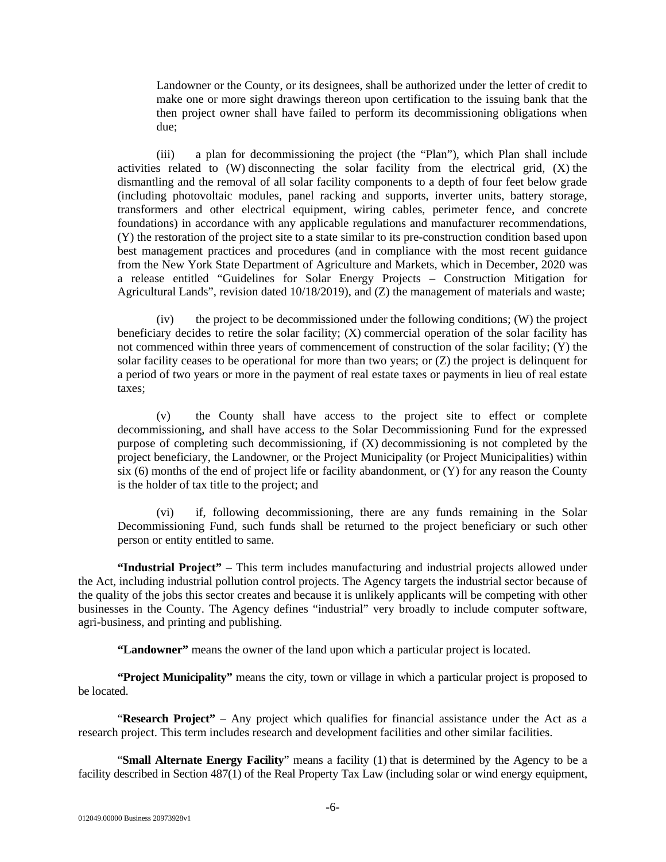Landowner or the County, or its designees, shall be authorized under the letter of credit to make one or more sight drawings thereon upon certification to the issuing bank that the then project owner shall have failed to perform its decommissioning obligations when due;

(iii) a plan for decommissioning the project (the "Plan"), which Plan shall include activities related to  $(W)$  disconnecting the solar facility from the electrical grid,  $(X)$  the dismantling and the removal of all solar facility components to a depth of four feet below grade (including photovoltaic modules, panel racking and supports, inverter units, battery storage, transformers and other electrical equipment, wiring cables, perimeter fence, and concrete foundations) in accordance with any applicable regulations and manufacturer recommendations, (Y) the restoration of the project site to a state similar to its pre-construction condition based upon best management practices and procedures (and in compliance with the most recent guidance from the New York State Department of Agriculture and Markets, which in December, 2020 was a release entitled "Guidelines for Solar Energy Projects – Construction Mitigation for Agricultural Lands", revision dated 10/18/2019), and (Z) the management of materials and waste;

(iv) the project to be decommissioned under the following conditions; (W) the project beneficiary decides to retire the solar facility; (X) commercial operation of the solar facility has not commenced within three years of commencement of construction of the solar facility; (Y) the solar facility ceases to be operational for more than two years; or (Z) the project is delinquent for a period of two years or more in the payment of real estate taxes or payments in lieu of real estate taxes;

(v) the County shall have access to the project site to effect or complete decommissioning, and shall have access to the Solar Decommissioning Fund for the expressed purpose of completing such decommissioning, if (X) decommissioning is not completed by the project beneficiary, the Landowner, or the Project Municipality (or Project Municipalities) within six  $(6)$  months of the end of project life or facility abandonment, or  $(Y)$  for any reason the County is the holder of tax title to the project; and

(vi) if, following decommissioning, there are any funds remaining in the Solar Decommissioning Fund, such funds shall be returned to the project beneficiary or such other person or entity entitled to same.

**"Industrial Project"** – This term includes manufacturing and industrial projects allowed under the Act, including industrial pollution control projects. The Agency targets the industrial sector because of the quality of the jobs this sector creates and because it is unlikely applicants will be competing with other businesses in the County. The Agency defines "industrial" very broadly to include computer software, agri-business, and printing and publishing.

**"Landowner"** means the owner of the land upon which a particular project is located.

**"Project Municipality"** means the city, town or village in which a particular project is proposed to be located.

"**Research Project"** – Any project which qualifies for financial assistance under the Act as a research project. This term includes research and development facilities and other similar facilities.

"**Small Alternate Energy Facility**" means a facility (1) that is determined by the Agency to be a facility described in Section 487(1) of the Real Property Tax Law (including solar or wind energy equipment,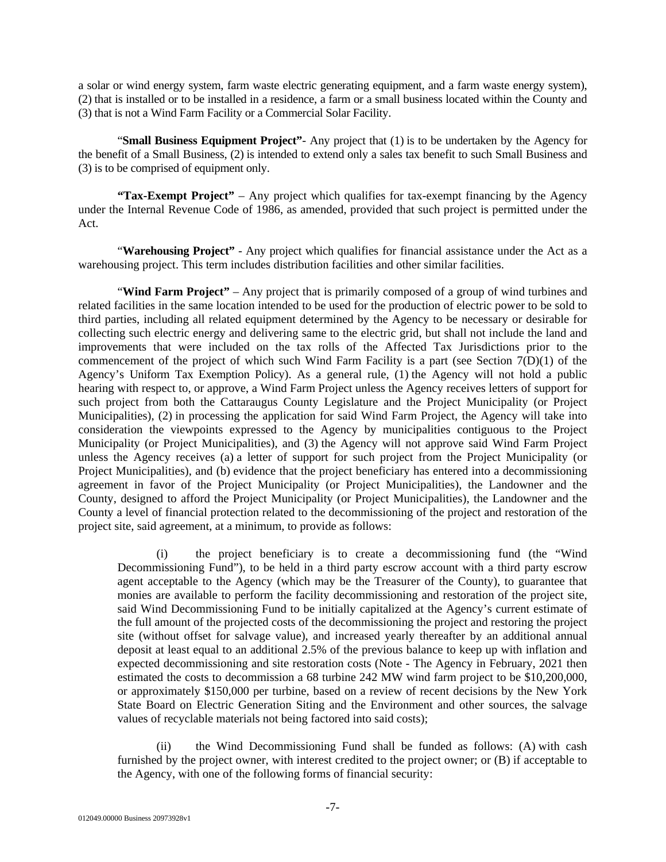a solar or wind energy system, farm waste electric generating equipment, and a farm waste energy system), (2) that is installed or to be installed in a residence, a farm or a small business located within the County and (3) that is not a Wind Farm Facility or a Commercial Solar Facility.

"**Small Business Equipment Project"**- Any project that (1) is to be undertaken by the Agency for the benefit of a Small Business, (2) is intended to extend only a sales tax benefit to such Small Business and (3) is to be comprised of equipment only.

**"Tax-Exempt Project"** – Any project which qualifies for tax-exempt financing by the Agency under the Internal Revenue Code of 1986, as amended, provided that such project is permitted under the Act.

"Warehousing Project" - Any project which qualifies for financial assistance under the Act as a warehousing project. This term includes distribution facilities and other similar facilities.

"**Wind Farm Project"** – Any project that is primarily composed of a group of wind turbines and related facilities in the same location intended to be used for the production of electric power to be sold to third parties, including all related equipment determined by the Agency to be necessary or desirable for collecting such electric energy and delivering same to the electric grid, but shall not include the land and improvements that were included on the tax rolls of the Affected Tax Jurisdictions prior to the commencement of the project of which such Wind Farm Facility is a part (see Section  $7(D)(1)$  of the Agency's Uniform Tax Exemption Policy). As a general rule, (1) the Agency will not hold a public hearing with respect to, or approve, a Wind Farm Project unless the Agency receives letters of support for such project from both the Cattaraugus County Legislature and the Project Municipality (or Project Municipalities), (2) in processing the application for said Wind Farm Project, the Agency will take into consideration the viewpoints expressed to the Agency by municipalities contiguous to the Project Municipality (or Project Municipalities), and (3) the Agency will not approve said Wind Farm Project unless the Agency receives (a) a letter of support for such project from the Project Municipality (or Project Municipalities), and (b) evidence that the project beneficiary has entered into a decommissioning agreement in favor of the Project Municipality (or Project Municipalities), the Landowner and the County, designed to afford the Project Municipality (or Project Municipalities), the Landowner and the County a level of financial protection related to the decommissioning of the project and restoration of the project site, said agreement, at a minimum, to provide as follows:

(i) the project beneficiary is to create a decommissioning fund (the "Wind Decommissioning Fund"), to be held in a third party escrow account with a third party escrow agent acceptable to the Agency (which may be the Treasurer of the County), to guarantee that monies are available to perform the facility decommissioning and restoration of the project site, said Wind Decommissioning Fund to be initially capitalized at the Agency's current estimate of the full amount of the projected costs of the decommissioning the project and restoring the project site (without offset for salvage value), and increased yearly thereafter by an additional annual deposit at least equal to an additional 2.5% of the previous balance to keep up with inflation and expected decommissioning and site restoration costs (Note - The Agency in February, 2021 then estimated the costs to decommission a 68 turbine 242 MW wind farm project to be \$10,200,000, or approximately \$150,000 per turbine, based on a review of recent decisions by the New York State Board on Electric Generation Siting and the Environment and other sources, the salvage values of recyclable materials not being factored into said costs);

(ii) the Wind Decommissioning Fund shall be funded as follows: (A) with cash furnished by the project owner, with interest credited to the project owner; or (B) if acceptable to the Agency, with one of the following forms of financial security: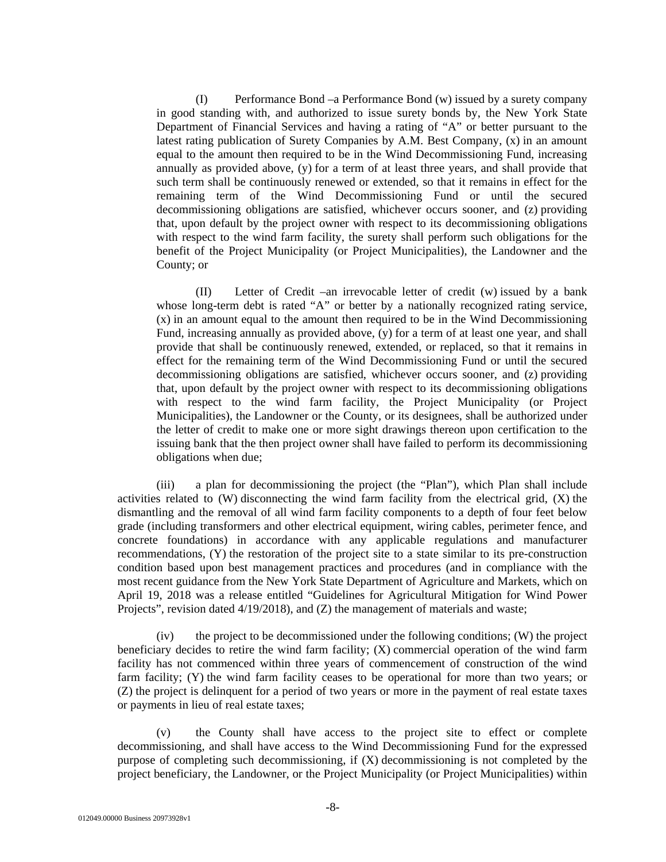(I) Performance Bond –a Performance Bond (w) issued by a surety company in good standing with, and authorized to issue surety bonds by, the New York State Department of Financial Services and having a rating of "A" or better pursuant to the latest rating publication of Surety Companies by A.M. Best Company, (x) in an amount equal to the amount then required to be in the Wind Decommissioning Fund, increasing annually as provided above, (y) for a term of at least three years, and shall provide that such term shall be continuously renewed or extended, so that it remains in effect for the remaining term of the Wind Decommissioning Fund or until the secured decommissioning obligations are satisfied, whichever occurs sooner, and (z) providing that, upon default by the project owner with respect to its decommissioning obligations with respect to the wind farm facility, the surety shall perform such obligations for the benefit of the Project Municipality (or Project Municipalities), the Landowner and the County; or

(II) Letter of Credit –an irrevocable letter of credit (w) issued by a bank whose long-term debt is rated "A" or better by a nationally recognized rating service, (x) in an amount equal to the amount then required to be in the Wind Decommissioning Fund, increasing annually as provided above, (y) for a term of at least one year, and shall provide that shall be continuously renewed, extended, or replaced, so that it remains in effect for the remaining term of the Wind Decommissioning Fund or until the secured decommissioning obligations are satisfied, whichever occurs sooner, and (z) providing that, upon default by the project owner with respect to its decommissioning obligations with respect to the wind farm facility, the Project Municipality (or Project Municipalities), the Landowner or the County, or its designees, shall be authorized under the letter of credit to make one or more sight drawings thereon upon certification to the issuing bank that the then project owner shall have failed to perform its decommissioning obligations when due;

(iii) a plan for decommissioning the project (the "Plan"), which Plan shall include activities related to  $(W)$  disconnecting the wind farm facility from the electrical grid,  $(X)$  the dismantling and the removal of all wind farm facility components to a depth of four feet below grade (including transformers and other electrical equipment, wiring cables, perimeter fence, and concrete foundations) in accordance with any applicable regulations and manufacturer recommendations, (Y) the restoration of the project site to a state similar to its pre-construction condition based upon best management practices and procedures (and in compliance with the most recent guidance from the New York State Department of Agriculture and Markets, which on April 19, 2018 was a release entitled "Guidelines for Agricultural Mitigation for Wind Power Projects", revision dated 4/19/2018), and (Z) the management of materials and waste;

(iv) the project to be decommissioned under the following conditions; (W) the project beneficiary decides to retire the wind farm facility; (X) commercial operation of the wind farm facility has not commenced within three years of commencement of construction of the wind farm facility; (Y) the wind farm facility ceases to be operational for more than two years; or (Z) the project is delinquent for a period of two years or more in the payment of real estate taxes or payments in lieu of real estate taxes;

(v) the County shall have access to the project site to effect or complete decommissioning, and shall have access to the Wind Decommissioning Fund for the expressed purpose of completing such decommissioning, if (X) decommissioning is not completed by the project beneficiary, the Landowner, or the Project Municipality (or Project Municipalities) within